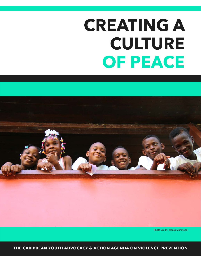# **CREATING A CULTURE OF PEACE**



Photo Credit: Waqas Mahmood

**THE CARIBBEAN YOUTH ADVOCACY & ACTION AGENDA ON VIOLENCE PREVENTION**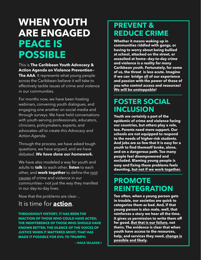# **WHEN YOUTH ARE ENGAGED PEACE IS POSSIBLE**

This is **The Caribbean Youth Advocacy & Action Agenda on Violence Prevention— The AAA**. It represents what young people across the Caribbean believe it will take to effectively tackle issues of crime and violence in our communities.

For months now, we have been hosting webinars, convening youth dialogues, and engaging one another on social media and through surveys. We have held conversations with youth-serving professionals, educators, clinicians, policymakers, experts, and advocates—*all to create this Advocacy and Action Agenda*.

Through the process, we have asked tough questions, we have argued, and we have debated. *We have done our homework.*

We have also modeled a way for youth and adults to **talk** to each other, **listen** to each other, and **work together** to define the root causes of crime and violence in our communities— not just the way they manifest in our day-to-day lives.

Now that the problems are clear…

### It is time for **action**.

**THROUGHOUT HISTORY, IT HAS BEEN THE INACTION OF THOSE WHO COULD HAVE ACTED; THE INDIFFERENCE OF THOSE WHO SHOULD HAVE KNOWN BETTER; THE SILENCE OF THE VOICES OF JUSTICE WHEN IT MATTERED MOST; THAT HAS MADE IT POSSIBLE FOR EVIL TO TRIUMPH.** 

 **— HAILE SELASSIE I**

### **PREVENT & REDUCE CRIME**

**Whether it means waking up in communities riddled with gangs, or having to worry about being bullied at school, attacked on the street, or assaulted at home—day-to-day crime and violence is a reality for many Caribbean youth. Fortunately, for some of us, the threat is less acute. Imagine if we can bridge all of our experience and passion with the power of those of you who control access and resources! We will be unstoppable!**

### **FOSTER SOCIAL INCLUSION**

**Youth are certainly a part of the epidemic of crime and violence facing our countries, but others play a role, too. Parents need more support. Our schools are not equipped to respond to the needs of higher-risk students. And jobs are so few that it is easy for a youth to find themself broke, alone, and on a dangerous path. Too many people feel disempowered and excluded. Blaming young people is easy and fixing these problems feels daunting, but not if we work together.**

### **PROMOTE REINTEGRATION**

**Too often, when a young person gets in trouble, our societies are quick to categorize them as bad. And, if that young person is also male, well, that reinforces a story we hear all the time. It gives us permission to write them off for good. But that is our failure, not theirs. The evidence is clear that when youth have access to the resources, help, and services they need, change is possible and likely.**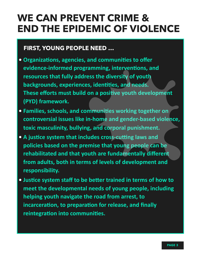# **WE CAN PREVENT CRIME & END THE EPIDEMIC OF VIOLENCE**

### **FIRST, YOUNG PEOPLE NEED …**

- Organizations, agencies, and communities to offer evidence-informed programming, interventions, and resources that fully address the diversity of youth backgrounds, experiences, identities, and needs. These efforts must build on a positive youth development **(PYD)** framework.
- **•** Families, schools, and communities working together on controversial issues like in-home and gender-based violence, toxic masculinity, bullying, and corporal punishment.
- A justice system that includes cross-cutting laws and policies based on the premise that young people can be rehabilitated and that youth are fundamentally different from adults, both in terms of levels of development and **responsibility.**
- Justice system staff to be better trained in terms of how to meet the developmental needs of young people, including **helping youth navigate the road from arrest, to** incarceration, to preparation for release, and finally reintegration into communities.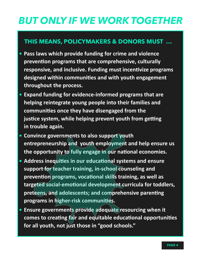# *BUT ONLY IF WE WORK TOGETHER*

### **THIS MEANS, POLICYMAKERS & DONORS MUST …**

- **•** Pass laws which provide funding for crime and violence prevention programs that are comprehensive, culturally responsive, and inclusive. Funding must incentivize programs designed within communities and with youth engagement throughout the process.
- Expand funding for evidence-informed programs that are helping reintegrate young people into their families and communities once they have disengaged from the **justice system, while helping prevent youth from getting** in trouble again.
- **Convince governments to also support youth** entrepreneurship and youth employment and help ensure us the opportunity to fully engage in our national economies.
- Address inequities in our educational systems and ensure support for teacher training, in-school counseling and prevention programs, vocational skills training, as well as targeted social-emotional development curricula for toddlers, preteens, and adolescents; and comprehensive parenting programs in higher-risk communities.
- **•** Ensure governments provide adequate resourcing when it comes to creating fair and equitable educational opportunities for all youth, not just those in "good schools."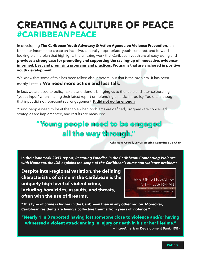# **CREATING A CULTURE OF PEACE #CARIBBEANPEACE**

In developing **The Caribbean Youth Advocacy & Action Agenda on Violence Prevention**, it has been our intention to create an inclusive, culturally-appropriate, youth-centered, and forwardlooking plan—a plan that highlights the amazing work that Caribbean youth are already doing and **provides a strong case for promoting and supporting the scaling-up of innovative, evidenceinformed, best and promising programs and practices. Programs that are anchored in positive youth development.**

We know that some of this has been talked about before, but that is the problem—it has been mostly just talk. **We need more action and less talk.**

In fact, we are used to policymakers and donors bringing us to the table and later celebrating "youth-input" when sharing their latest report or defending a particular policy. Too often, though, that input did not represent real engagement. **It did not go far enough**.

Young people need to be at the table when problems are defined, programs are conceived, strategies are implemented, and results are measured.

## **"Young people need to be engaged all the way through."**

**— Asha-Gaye Cowell, LYNCS Steering Committee Co-Chair** 

**In their landmark 2017 report,** *Restoring Paradise in the Caribbean: Combatting Violence with Numbers, the IDB explains the scope of the Caribbean's crime and violence problem:*

**Despite inter-regional variation, the defining characteristic of crime in the Caribbean is the uniquely high level of violent crime, including homicides, assaults, and threats, often with the use of firearms.** 



**"This type of crime is higher in the Caribbean than in any other region. Moreover, Caribbean residents are living a collective trauma from years of violence."** 

**"Nearly 1 in 3 reported having lost someone close to violence and/or having witnessed a violent attack ending in injury or death in his or her lifetime." — Inter-American Development Bank (IDB)**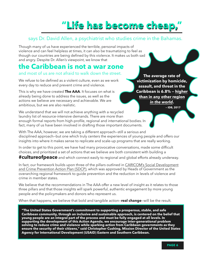# **"Life has become cheap,"**

### says Dr. David Allen, a psychiatrist who studies crime in the Bahamas.

Though many of us have experienced the terrible, personal impacts of violence and can feel helpless at times, it can also be traumatizing to feel as though our countries are being defined by this violence. It makes us both sad and angry. Despite Dr. Allen's viewpoint, we know that

### **the Caribbean is not a war zone**

#### and most of us are not afraid to walk down the street.

We refuse to be defined as a violent culture, even as we work every day to reduce and prevent crime and violence.

This is why we have created **The AAA**. It focuses on what is already being done to address the issues, as well as the actions we believe are necessary and achievable. We are ambitious, but we are also realistic.

We understand that we will not achieve anything with a recycled laundry list of resource-intensive demands. There are more than enough formal reports from high-profile, regional and international bodies. In fact, many of us have been involved in drafting those important documents.

**The average rate of victimization by homicide, assault, and threat in the Caribbean is 6.8% — higher than in any other region**  *in the world***.** 

 **— IDB, 2017**

With The AAA, however, we are taking a different approach—still a serious and disciplined approach—but one which truly centers the experiences of young people and offers our insights into where it makes sense to replicate and scale-up programs that are really working.

In order to get to this point, we have had many provocative conversations, made some difficult choices, and prioritized a set of actions that we believe are both consistent with building a **#cultureofpeace** and which connect easily to regional and global efforts already underway.

In fact, our framework builds upon three of the pillars outlined in CARICOM's Social Development and Crime Prevention Action Plan (SDCP), which was approved by Heads of Government as the overarching regional framework to guide prevention and the reduction in levels of violence and crime in member states.

We believe that the recommendations in The AAA offer a new level of insight as it relates to those three pillars and that those insights will spark powerful, authentic engagement by more young people and the policymakers and donors who represent us.

When that happens, we believe that bold and tangible action—**real change**—will be the result.

**"The United States Government's commitment to supporting a prosperous, stable, and safe Caribbean community, through an inclusive and sustainable approach, is centered on the belief that young people are an integral part of the process and must be fully engaged at all levels. In supporting the development of this Action Agenda, we encourage inter-generational problem solving to reduce crime and violence while sparking action from Caribbean governments as they ensure the security of their citizens," said Christopher Cushing, Mission Director of the United States Agency for International Development (USAID) Eastern and Southern Caribbean.**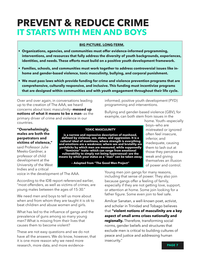# **PREVENT & REDUCE CRIME IT STARTS WITH MEN AND BOYS**

#### **BIG PICTURE. LONG-TERM.**

- **• Organizations, agencies, and communities must offer evidence-informed programming, interventions, and resources that fully address the diversity of youth backgrounds, experiences, identities, and needs. These efforts must build on a positive youth development framework.**
- **• Families, schools, and communities must work together to address controversial issues like inhome and gender-based violence, toxic masculinity, bullying, and corporal punishment.**
- **• We must pass laws which provide funding for crime and violence prevention programs that are comprehensive, culturally responsive, and inclusive. This funding must incentivize programs that are designed within communities and with youth engagement throughout their life cycle.**

Over and over again, in conversations leading up to the creation of The AAA, we heard concerns about toxic masculinity—**messed up notions of what it means to be a man**—as the primary driver of crime and violence in our countries.

**"Overwhelmingly, males are both the perpetrators and victims of violence,"**

said Professor Julie Meeks-Gardner, a professor of child development at the University of the West Indies and a critical

**TOXIC MASCULINITY** 

**is a narrow and repressive description of manhood, defined by violence, sex, status, and aggression. It is a cultural ideal of manliness, where strength is everything and emotions are a weakness; where sex and brutality are yardsticks by which men are measured, while supposedly "feminine" traits—which can range from emotional vulnerability to simply not being hypersexual—are the means by which your status as a "man" can be taken away.** 

**— Adapted from "The Good Men Project"** 

home. Youth—especially boys—who are mistreated or ignored often feel insecure, inferior, and inadequate, causing them to lash out at those they perceive as weak and giving themselves an illusion of power and control.

voice in the development of The AAA.

According to the IDB report referenced earlier, "most offenders, as well as victims of crimes, are young males between the ages of 15-30."

We need men and boys to tell us more about when and from whom they are taught it is ok to beat children and abuse women and girls.

What has led to the influence of gangs and the prevalence of guns among so many young men? What is missing from their lives that causes them to become violent?

These are not easy questions and we do not have all the answers. We do know, however, that it is one more reason why we need more research, more data, and more evidenceYoung men join gangs for many reasons, including that sense of power. They also join because gangs offer a feeling of family, especially if they are not getting love, support, or attention at home. Some join looking for a father figure. Some even join to feel safe.

informed, positive youth development (PYD)

Bullying and gender-based violence (GBV), for example, can both stem from issues in the

programming and interventions.

Amílcar Sanatan, a well-known poet, activist, and scholar in Trinidad and Tobago believes that **"violent notions of masculinity are a key aspect of small arms crises nationally and regionally.** Therefore, transforming social norms, gender beliefs and structures that exclude men is critical to building cultures of peace and justice and addressing human insecurity."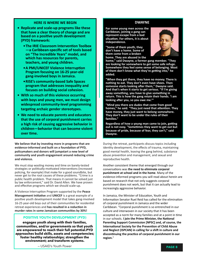#### **HERE IS WHERE WE BEGIN**

- **Replicate and scale-up programs like these that have a clear theory of change and are based on a positive youth development (PYD) framework:** 
	- **The IRIE Classroom Intervention Toolbox —a Caribbean-specific set of tools based**  on "The Incredible Years" model, and **which has resources for parents, teachers, and young children.**
	- **A PMI/UNICEF Violence Interruption Program focusing on 16-25 year-old** gang-involved boys in Jamaica.
	- **RISE's community-based Safe Spaces** program that addresses inequality and **focuses on building social cohesion.**
- With so much of this violence occurring **with boys and young men, we must design widespread community-level programming targeting archaic gender stereotypes.**
- **•** We need to educate parents and educators **that the use of corporal punishment carries** a high risk of causing aggressive behavior in children-behavior that can become violent **over** time.

We believe that by investing more in programs that are evidence-informed and built on a foundation of PYD, policymakers and donors will jumpstart a new level of community and youth engagement around reducing crime **and violence.** 

We must stop wasting money and time on barely-tested strategies or politically-motivated interventions (increased policing, for example) that make for a good soundbite, but never get to the root causes of these problems. "Crime is a public health problem. That means it cannot be solved just by law enforcement," said Dr. David Allen. We have proven and effective programs which we should scale-up.

A Violence Interruption Program supported by the **Peace Management Initiative** and **UNICEF** is a great example of a positive youth development model that takes gang-involved 16-25 year-old boys out of their communities for residential retreat experiences and has resulted in a reduction in murder rates in some Jamaican communities by 30%!

#### **POSITIVE YOUTH DEVELOPMENT (PYD)**

**engages youth along with their families, communities, and/or governments so that youth are empowered to reach their full potential.PYD approaches build skills, assets and competencies; foster healthy relationships; strengthen the environment; and transform systems.** 

**DWAYNE** 

For some young men across the **Caribbean, joining a gang can represent escape from a bad** situation. For others, it is about **independence.** 

**"Some of them youth, they** don't have a home. Some of **them come from a broken** home. They are abused in the

home," said Dwayne, a former gang member. "They are looking for somewhere to get some safe refuge. Somewhere they feel some sense of belonging. Most of them don't know what they're getting into," he **added.** 

"When they get there, they have no money. There is nothing to eat. They don't even have shoes. Then someone starts looking after them," Dwayne said. And that's when it starts to get serious. "If I'm giving away something, you have to give something in return. This is how the gang retain their hands. 'I am looking after you, so you owe me.""

**"Mind you there are dudes that come from good** homes," he said. "They just need that attention. They have money, they just want to belong somewhere. They don't want to be under the rules of their **families."** 

Regardless of how a young man came to join, getting out is not easy. "Sometimes they want to get out but because of pride, because of fear, they can't," said Dwayne.

During the retreat, participants discuss topics including identity development, the effects of trauma, maintaining good mental health, leaving the gang behind, substance abuse prevention and management, and sexual and reproductive health.

Another consistent theme that emerged through our conversations was the need to eliminate corporal punishment at school and in the home. Many of the evidence-informed programs you will read about herein are based on research that not only suggests corporal punishment does not work, but that it can actually lead to increasingly aggressive behavior.

In Jamaica, the Minister of Education, Youth and Information Senator Ruel Reid has called for the elimination of corporal punishment in Jamaica and the wider Caribbean. "Corporal punishment is so entrenched in our culture and interwoven in our society that it has been accepted as a norm for many families and at a point in time in our schools. I join the Prime Minister, the National Parenting Support Commission [NPSC] and, of course, the **International Society for the Prevention of Child Abuse** and Neglect (ISPCAN) in calling for a shift in culture and discontinuing the practice of corporal punishment in our **region.**"



— USAID's Youth Power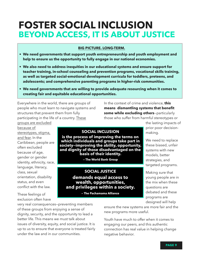# **FOSTER SOCIAL INCLUSION BEYOND ACCESS, IT IS ABOUT JUSTICE**

#### **BIG PICTURE. LONG-TERM.**

- **• We need governments that support youth entrepreneurship and youth employment and help to ensure us the opportunity to fully engage in our national economies.**
- **• We also need to address inequities in our educational systems and ensure support for teacher training, in-school counseling and prevention programs, vocational skills training, as well as targeted social-emotional development curricula for toddlers, preteens, and adolescents; and comprehensive parenting programs in higher-risk communities.**
- **• We need governments that are willing to provide adequate resourcing when it comes to creating fair and equitable educational opportunities.**

Everywhere in the world, there are groups of people who must learn to navigate systems and structures that prevent them from fully participating in the life of a country. These

In the context of crime and violence, **this means dismantling systems that benefit some while excluding others**—particularly those who suffer from harmful stereotypes or

groups are excluded because of stereotypes, stigma, and fear. In the Caribbean, people are often excluded because of age, gender or gender identity, ethnicity, race, language, literacy, class, sexual orientation, disability status, and even conflict with the law.

These feelings of exclusion often have

very real consequences—preventing members of these groups from enjoying a sense of dignity, security, and the opportunity to lead a better life. This means we must talk about issues of diversity, equity, and social justice. It is up to us to ensure that everyone is treated fairly under the law and in our communities.

**SOCIAL INCLUSION** 

**is the process of improving the terms on which individuals and groups take part in society—improving the ability, opportunity, and dignity of those disadvantaged on the basis of their identity.** 

**— The World Bank Group** 

**SOCIAL JUSTICE demands equal access to wealth, opportunities, and privileges within a society.** 

**— The Pachamama Alliance** 

the lasting impacts of prior poor decisionmaking.

We need to replace these biased, unfair systems with new models, better strategies, and targeted programs.

Making sure that young people are in the mix when these questions are debated and these programs are designed will help

ensure the new systems are more fair and the new programs more useful.

Youth have much to offer when it comes to engaging our peers, and this authentic connection has real value in helping change negative behavior.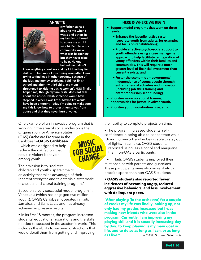#### **ANNETTE**



**My father started** abusing me when I **was 5 and others in**  my family continued **to abuse me until I was 14. People in my community knew**  what was happening, **but they never tried** to help. No one helped me. I didn't

know anything about sex and by 15 I had my first child with two more kids coming soon after. I was trying to find love in other persons. Because of the kids and money problems, I did not finish school and after my third child, my mom threatened to kick me out. A women's NGO finally helped me, though my family still does not talk about the abuse. I wish someone would have stepped in when I was little. Maybe life would have been different. Today I'm going to make sure my kids know how to protect themselves from abuse and that they never hurt anyone.

One example of an innovative program that is working in the area of social inclusion is the Organization for American States (OAS) Orchestra Program in the Caribbean—**OASIS Caribbean MUSIC** —which was designed to help reduce the risk factors that result in violent behavior among youth.

Their mission is to "redirect children and youths' spare time to an activity that takes advantage of their inherent strengths and talents via a systematic orchestral and choral training program."

Based on a very successful model program in Venezuela (which has engaged two million youth!), OASIS Caribbean operates in Haiti, Jamaica, and Saint Lucia and has already achieved impressive results:

• In its first 18 months, the program increased students' educational aspirations and the skills needed to succeed in the academic world. This includes the ability to suspend distractions that would derail them from getting and improving

#### **HERE IS WHERE WE BEGIN**

- **•** Support model programs that work on three levels:
	- **•** Enhance the juvenile justice system **(separate youth from adults, for example;** and focus on rehabilitation):
	- **•** Provide effective psycho-social support to **youth offenders using a case management** approach to help facilitate reintegration of **young offenders within their families and** communities. This will require a much greater level of financial investment than currently exists; and
	- **•** Foster the economic empowerment/ **independence of young people through entrepreneurial activities and innovation (including job skills training and entrepreneurship seed funding).**
- **•** Prioritize more vocational training opportunities for justice-involved youth.
- **•** Prioritize youth socialization programs.

their ability to complete projects on time.

• The program increased students' selfconfidence in being able to concentrate while doing homework and in being able to stay out of fights. In Jamaica, OASIS students reported using less alcohol and marijuana than non-OASIS participants. FOR SOCIAL reported using less alcohol and marijual than non-OASIS participants.<br>
In Haiti, OASIS students improved their<br>
relationships with parents and guardians.

• In Haiti, OASIS students improved their These participants were also more likely to practice sports than non-OASIS students.

#### **• OASIS students also reported fewer incidences of becoming angry, reduced aggressive behaviors, and less involvement with delinquent peers.**

**"After playing [in the orchestra] for a couple of weeks my life was finally looking up, not only had my grades increased but I was making new friends who were also in the program. Currently, I am improving my playing skill and it is steadily increasing day by day. To keep playing is my main goal in life, and to do so as long as I can, or as long as I live."** — **— OASIS Student, Saint Lucia**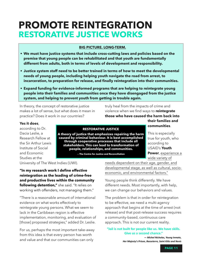### **RESTORATIVE JUSTICE WORKS PROMOTE REINTEGRATION**

#### **BIG PICTURE. LONG-TERM.**

- **• We must have justice systems that include cross-cutting laws and policies based on the premise that young people can be rehabilitated and that youth are fundamentally different from adults, both in terms of levels of development and responsibility.**
- **• Justice system staff need to be better trained in terms of how to meet the developmental needs of young people, including helping youth navigate the road from arrest, to incarceration, to preparation for release, and finally reintegration into their communities.**
- **• Expand funding for evidence-informed programs that are helping to reintegrate young people into their families and communities once they have disengaged from the justice system, and helping to prevent youth from getting in trouble again.**

In theory, the concept of restorative justice makes a lot of sense, but what does it mean in practice? Does it work in our countries?

truly heal from the impacts of crime and violence when we find ways to **reintegrate those who have caused the harm back into** 

#### **Yes it does**,

according to Dr. Dacia Leslie, a Research Fellow at the Sir Arthur Lewis Institute of Social and Economic Studies at the

#### **RESTORATIVE JUSTICE**

**A theory of justice that emphasizes repairing the harm caused by criminal behaviour. It is best accomplished through cooperative processes that include all stakeholders. This can lead to transformation of people, relationships, and communities.** 

**— The Centre for Justice and Reconciliation** 

University of The West Indies (UWI).

**"In my research work I define effective reintegration as the leading of crime-free and productive lives within the community following detention,"** she said. "It relies on working with offenders, not managing them."

"There is a reasonable amount of international evidence on what works effectively to reintegrate young persons. What we seem to lack in the Caribbean region is effective implementation, monitoring, and evaluation of [those] proposed strategies," added Dr. Leslie.

For us, perhaps the most important take-away from this idea is that every person has worth and value and that our communities can only

needs dependent on their age, gender, and developmental stage, as well as cultural, socioeconomic, and environmental factors."

Young people think differently. We have different needs. Most importantly, with help, we can change our behaviors and values.

The problem is that in order for reintegration to be effective, we need a multi-agency approach that begins at the time of arrest (not release) and that post-release success requires a community-based, continuous care approach. This is not our current reality.

"Jail is not built for people like us. We have skills. **Give us a second chance."**  $-$  Michel Nicholas, Young Inmate,

Her Majesty's Prison, Basseterre, Saint Kitts and Nevis

**their families and communities**.

This is especially true for youth, who according to USAID's **Youth Power**, experience a wide variety of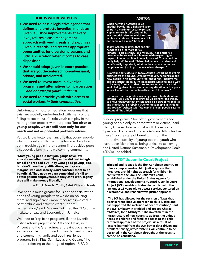#### **HERE IS WHERE WE BEGIN**

- We need to pass a legislative agenda that defines and protects juveniles, mandates **juvenile justice improvements at every level, utilizes a case management** approach with youth, seals and expunges **juvenile records, and creates appropriate opportunities for diversion programs and judicial discretion when it comes to case** disposition.
- We should adopt juvenile court practices **that are youth-centered, non-adversarial,** private, and accelerated.
- **•** We need to invest more in diversion programs and alternatives to incarceration **—***and not just for youth under 18***.**
- We need to provide youth with access to **social workers in their communities.**

Unfortunately, most reintegration programs that exist are woefully under-funded with many of them failing to see the useful role youth can play in the reintegration process with our peers. **Too often as young people, we are still seen only for our needs and not as potential problem-solvers.**

Yet, we know better than anyone that young people who come into conflict with the law are likely to end up in trouble again if they cannot find positive peers, a supportive family, or a welcoming community.

**"Most young people that join gangs have low educational attainment. They either did bad in high school or dropped out. They want good paying jobs, but don't have the qualifications, so they are marginalized and society don't consider them to be beneficial. They need to earn some kind of skill to obtain gainful employment. If they can't work legally, they will make money illegally."** 

**— Elrick Francis, Youth, Saint Kitts and Nevis** 

"We need a much greater focus on the socialization needs of young people than we do on policing them, and significantly more resources invested in partnerships and activities that support reintegration," said Dwayne Gutzmer, the CEO of the Institute of Law and Economics in Jamaica.

We need to "replicate programs like the juvenile justice reform project in St. Kitts and Nevis, in St. Vincent and the Grenadines, and Saint Lucia; as well as the juvenile court project in Trinidad and Tobago and community, family and youth resilience programs in St. Kitts, Saint Lucia, and Guyana," he added, referring to the range of regional USAID-

#### **ASHTON**

**When he was 17, Ashton killed** another boy during a fight and spent **years in a maximum security prison. Hoping to turn his life around, he** was a model prisoner, which resulted in his early release. "I went in a child and came out a man," he said.



**Today, Ashton believes that society** needs to do a lot more for ex-

inmates. "I did a crime. I did my dues. That's history. I deserve to be treated as a human, with respect. I give respect. I hope that it will be reciprocated. That would be really helpful," he said. "Prison helped me to understand what's really important, what matters, what creates real happiness and joy. In prison, my values changed."

As a young agriculturalist today, Ashton is working to get his business off the ground. Even now though, he thinks about how people in his community feel about him. "Believe me bro. It's tough," he said. "At least agriculture gives me a way to be away from all of that. I try to protect my space and avoid being placed in an embarrassing situation or in a place where I would be treated in a disrespectful manner."

He hopes that the public can change how it feels about exinmates. "As a young man growing up doing wrong things, I still never believed that prison could be a part of my reality; and I think that's probably true for most people in Trinidad and Tobago," Ashton said. "At least in prison, people saw my potential," he added.

funded programs. "Too often, governments see young people only as perpetrators or victims," said Henry Charles, International Youth Development Specialist, Policy, and Strategy Advisor. Attitudes like these "rob the state of benefitting from the productive capacity of young people—youth who have been identified as being critical to achieving the United Nations Sustainable Development Goals (SDGs)," he added.

#### **T&T Juvenile Court Project**

**Trinidad and Tobago is the first Caribbean country to** offer a comprehensive child justice system that integrates a child rights approach for children in conflict with the law. The Children's Court, established under the United States Agency for **International Development's (USAID) Juvenile Court Project (JCP), enables children in conflict with the** law under 18 years old to access services centered on a restorative and rehabilitative justice approach.

"The JCP has allowed for the revision of laws that direct a rehabilitative approach to child justice and has supported the inclusion of peer resolution," said the U.S. Embassy in Trinidad and Tobago Chargé d'Affaires, John McIntyre. "The investment in the **infrastructure of new courts to address the unique** needs of children and families speaks to the childcentered approach of the project. As a result of lessons learned from the JCP, better data-driven and problem-solving justice systems will continue to be designed in the Caribbean throughout the years to come," he concluded.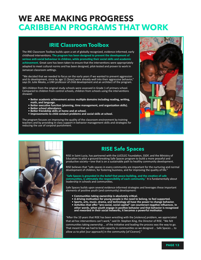# **WE ARE MAKING PROGRESS CARIBBEAN PROGRAMS THAT WORK**

### **IRIE Classroom Toolbox**

The IRIE Classroom Toolbox builds upon a set of globally recognized, evidence-informed, early childhood interventions. The program has been designed to prevent the development of serious anti-social behaviour in children, while promoting their social skills and academic achievement. Great care has been taken to ensure that the interventions were appropriately adapted to meet cultural norms and has been designed, pilot-tested and proven to work in Jamaican classroom settings.

"We decided that we needed to focus on the early years if we wanted to prevent aggression and its development, since by age 11 [boys] were already well into their aggressive behavior," says Dr. Julie Meeks, a UWI professor of child development and an architect of the program.

365 children from the original study schools were assessed in Grade 1 of primary school. Compared to children from control schools, children from schools using the interventions showed: 

- Better academic achievement across multiple domains including reading, writing, **math, and language.**
- Better executive function (planning, time management, and organization skills). **•** Better school attendance.
- 
- **•** Better friendship skills at home and at school. **•** Improvements to child conduct problems and social skills at school.

The program focuses on improving the quality of the classroom environment by training teachers and by providing in-class support in behavior management skills and strategies for reducing the use of corporal punishment.





### **RISE Safe Spaces**

RISE in Saint Lucia, has partnered with the LUCELEC Foundation, SSDF, and the Ministry of Education to pilot a ground-breaking Safe Spaces program to build a more peaceful and productive society—one that is on a sustainable path to healthy community development.

RISE believes that "safe spaces in every community are important for the nurturing and normal development of children, for fostering business, and for improving the quality of life."

"Safe Spaces is grounded in the belief that peace-building, and the creation of safe **communities, is ultimately the responsibility of each community."** It is fundamentally about leadership in schools and communities.

Safe Spaces builds upon several evidence-informed strategies and leverages these important elements of positive youth (and community) development:

- **•** Communities taking ownership is absolutely critical.
- A driving motivation for young people is the need to belong, to feel supported.
- **•** Sports, arts, music, drama, and technology all have the power to change behavior.
- Activities that offer "pro-social, social capital" can counteract negative influences. In other words, when youth engage in positive behavior and that behavior is recognized and rewarded in their social networks, it becomes a powerful motivator.

"After the 10 years that RISE has been wrestling with the [violence] problem, we appreciated that ad hoc interventions can't work," said Dr. Stephen King, the Director of RISE. "We felt communities taking ownership ... of the initiative and leading the process was the way to go. That meant that we had to build capacity in communities so we designed ... Safe Spaces ... to allow us to pilot [our approach] in the community [of Ciceron]."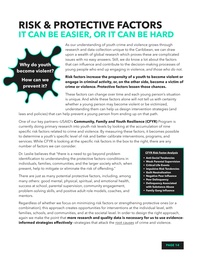# **RISK & PROTECTIVE FACTORS IT CAN BE EASIER, OR IT CAN BE HARD**



As our understanding of youth crime and violence grows through research and data collection unique to the Caribbean, we can draw upon a wealth of global research which proves these are complicated issues with no easy answers. Still, we do know a lot about the factors that can influence and contribute to the decision-making processes of young people who end up engaging in violence, *and those who do not*.

#### **Risk factors increase the propensity of a youth to become violent or engage in criminal activity, or, on the other side, become a victim of crime or violence. Protective factors lessen those chances.**

These factors can change over time and each young person's situation is unique. And while these factors alone will not tell us with certainty whether a young person may become violent or be victimized, understanding them can help us design intervention strategies (and

laws and policies) that can help prevent a young person from ending up on that path.

One of our key partners—USAID's **Community, Family and Youth Resilience (CFYR)** Program is currently doing primary research into youth risk levels by looking at the accumulation of nine specific risk factors related to crime and violence. By measuring these factors, it becomes possible to determine a youth's specific level of risk and better calibrate interventions, programs, and services. While CFYR is looking at the specific risk factors in the box to the right, there are any number of factors we can consider.

Dr. Leslie believes that "there is a need to go beyond problem identification to understanding the protective factors—conditions in individuals, families, communities, and the larger society which, when present, help to mitigate or eliminate the risk of offending."

There are just as many potential protective factors, including, among many others: good mental, physical, spiritual, and emotional health, success at school, parental supervision, community engagement, problem-solving skills, and positive adult role models, coaches, and mentors.

#### **CFYR Risk Factor Analysis**

- **Anti-Social Tendencies**
- **Weak Parental Supervision**
- **Critical Life Events**
- **Impulsive Risk Tendencies**
- **Guilt Neutralization**
- **Negative Peer Influence**
- **Peer Delinquency**
- **Delinquency Associated with Substance Abuse • Family Gang Influence**

Regardless of whether we focus on minimizing risk factors or strengthening protective ones (or a combination), this approach creates opportunities for interventions at the individual level, with families, schools, and communities, and at the societal level. In order to design the right approach, again we make the point that **more research and quality data is necessary for us to use evidenceinformed strategies effectively**—strategies that attack the root causes of crime and violence.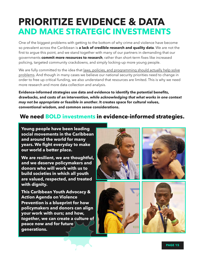# **PRIORITIZE EVIDENCE & DATA AND MAKE STRATEGIC INVESTMENTS**

One of the biggest problems with getting to the bottom of why crime and violence have become so prevalent across the Caribbean is **a lack of credible research and quality data**. We are not the first to argue this point, and we stand together with many of our partners in demanding that our governments **commit more resources to research**, rather than short-term fixes like increased policing, targeted community crackdowns, and simply locking-up more young people.

We are fully committed to the idea that laws, policies, and programming should actually help solve problems. And though in many cases we believe our national security priorities need to change in order to free up critical funding, we also understand that resources are limited. This is why we need more research and more data collection and analysis.

**Evidence-informed strategies use data and evidence to identify the potential benefits, drawbacks, and costs of an intervention,** *while acknowledging that what works in one context may not be appropriate or feasible in another***. It creates space for cultural values, conventional wisdom, and common sense considerations.** 

### **We need BOLD investments in evidence-informed strategies.**

**Young people have been leading social movements in the Caribbean and around the world for many years. We fight everyday to make our world a better place.** 

**We are resilient, we are thoughtful, and we deserve policymakers and donors who will work with us to build societies in which all youth are valued, respected, and treated with dignity.** 

**This Caribbean Youth Advocacy & Action Agenda on Violence Prevention is a blueprint for how policymakers and donors can align your work with ours; and how,**  *together***, we can create a culture of peace now and for future generations.**